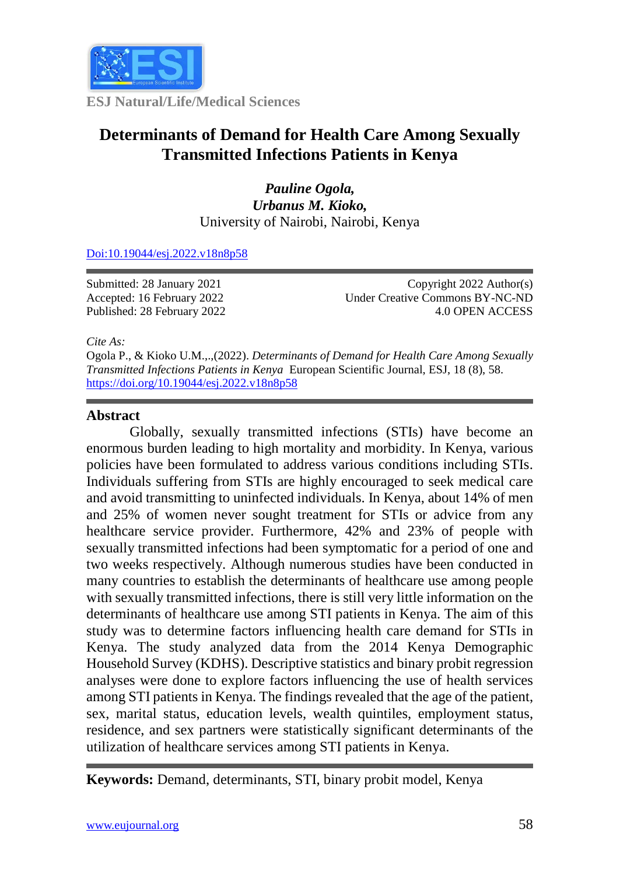

**ESJ Natural/Life/Medical Sciences**

# **Determinants of Demand for Health Care Among Sexually Transmitted Infections Patients in Kenya**

*Pauline Ogola, Urbanus M. Kioko,* University of Nairobi, Nairobi, Kenya

[Doi:10.19044/esj.2022.v18n8p58](https://doi.org/10.19044/esj.2021.v17n29p1)

Submitted: 28 January 2021 Accepted: 16 February 2022 Published: 28 February 2022

Copyright 2022 Author(s) Under Creative Commons BY-NC-ND 4.0 OPEN ACCESS

*Cite As:*

Ogola P., & Kioko U.M.,.,(2022). *Determinants of Demand for Health Care Among Sexually Transmitted Infections Patients in Kenya* European Scientific Journal, ESJ, 18 (8), 58. <https://doi.org/10.19044/esj.2022.v18n8p58>

### **Abstract**

Globally, sexually transmitted infections (STIs) have become an enormous burden leading to high mortality and morbidity. In Kenya, various policies have been formulated to address various conditions including STIs. Individuals suffering from STIs are highly encouraged to seek medical care and avoid transmitting to uninfected individuals. In Kenya, about 14% of men and 25% of women never sought treatment for STIs or advice from any healthcare service provider. Furthermore, 42% and 23% of people with sexually transmitted infections had been symptomatic for a period of one and two weeks respectively. Although numerous studies have been conducted in many countries to establish the determinants of healthcare use among people with sexually transmitted infections, there is still very little information on the determinants of healthcare use among STI patients in Kenya. The aim of this study was to determine factors influencing health care demand for STIs in Kenya. The study analyzed data from the 2014 Kenya Demographic Household Survey (KDHS). Descriptive statistics and binary probit regression analyses were done to explore factors influencing the use of health services among STI patients in Kenya. The findings revealed that the age of the patient, sex, marital status, education levels, wealth quintiles, employment status, residence, and sex partners were statistically significant determinants of the utilization of healthcare services among STI patients in Kenya.

**Keywords:** Demand, determinants, STI, binary probit model, Kenya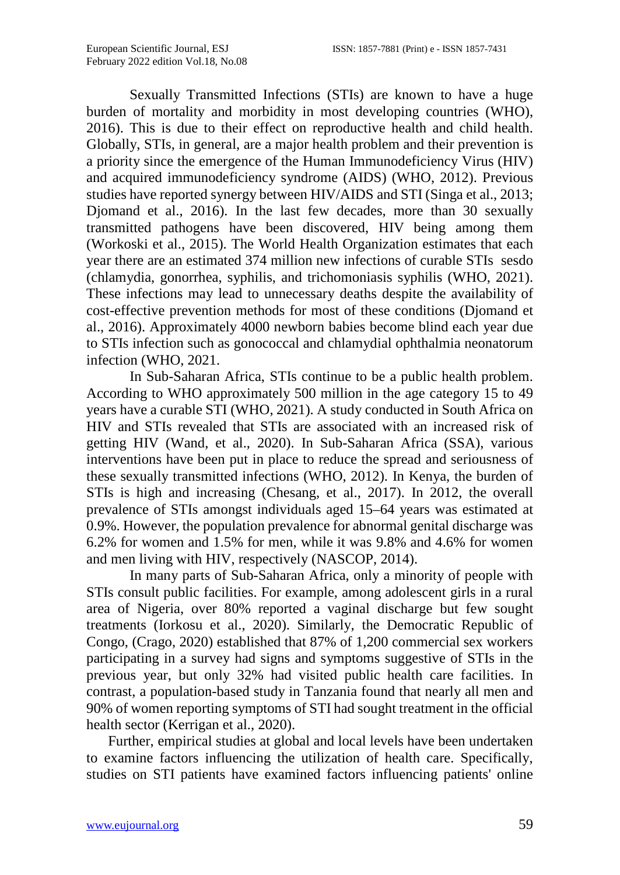Sexually Transmitted Infections (STIs) are known to have a huge burden of mortality and morbidity in most developing countries (WHO), 2016). This is due to their effect on reproductive health and child health. Globally, STIs, in general, are a major health problem and their prevention is a priority since the emergence of the Human Immunodeficiency Virus (HIV) and acquired immunodeficiency syndrome (AIDS) (WHO, 2012). Previous studies have reported synergy between HIV/AIDS and STI (Singa et al., 2013; Djomand et al., 2016). In the last few decades, more than 30 sexually transmitted pathogens have been discovered, HIV being among them (Workoski et al., 2015). The World Health Organization estimates that each year there are an estimated 374 million new infections of curable STIs sesdo (chlamydia, gonorrhea, syphilis, and trichomoniasis syphilis (WHO, 2021). These infections may lead to unnecessary deaths despite the availability of cost-effective prevention methods for most of these conditions (Djomand et al., 2016). Approximately 4000 newborn babies become blind each year due to STIs infection such as gonococcal and chlamydial ophthalmia neonatorum infection (WHO, 2021.

In Sub-Saharan Africa, STIs continue to be a public health problem. According to WHO approximately 500 million in the age category 15 to 49 years have a curable STI (WHO, 2021). A study conducted in South Africa on HIV and STIs revealed that STIs are associated with an increased risk of getting HIV (Wand, et al., 2020). In Sub-Saharan Africa (SSA), various interventions have been put in place to reduce the spread and seriousness of these sexually transmitted infections (WHO, 2012). In Kenya, the burden of STIs is high and increasing (Chesang, et al., 2017). In 2012, the overall prevalence of STIs amongst individuals aged 15–64 years was estimated at 0.9%. However, the population prevalence for abnormal genital discharge was 6.2% for women and 1.5% for men, while it was 9.8% and 4.6% for women and men living with HIV, respectively (NASCOP, 2014).

In many parts of Sub-Saharan Africa, only a minority of people with STIs consult public facilities. For example, among adolescent girls in a rural area of Nigeria, over 80% reported a vaginal discharge but few sought treatments (Iorkosu et al., 2020). Similarly, the Democratic Republic of Congo, (Crago, 2020) established that 87% of 1,200 commercial sex workers participating in a survey had signs and symptoms suggestive of STIs in the previous year, but only 32% had visited public health care facilities. In contrast, a population-based study in Tanzania found that nearly all men and 90% of women reporting symptoms of STI had sought treatment in the official health sector (Kerrigan et al., 2020).

Further, empirical studies at global and local levels have been undertaken to examine factors influencing the utilization of health care. Specifically, studies on STI patients have examined factors influencing patients' online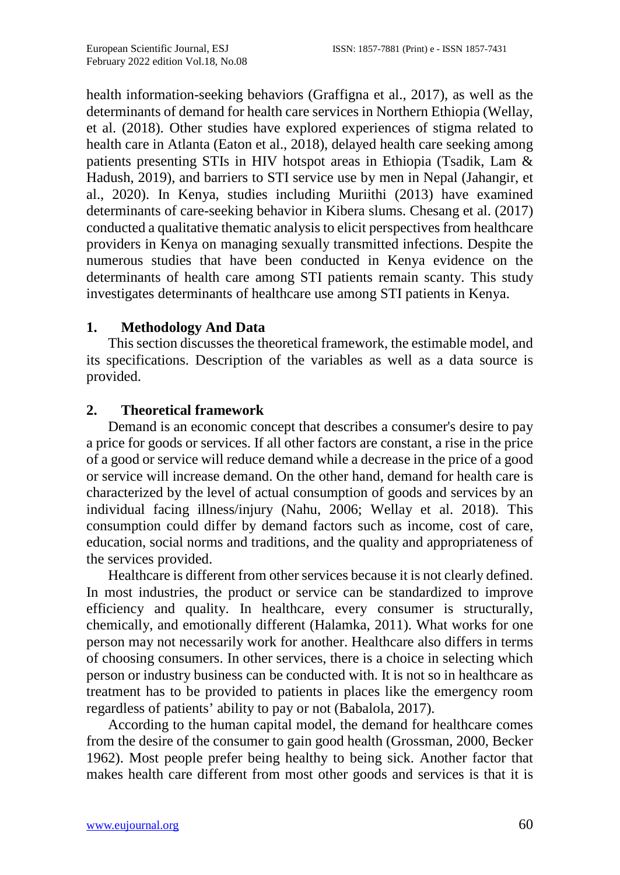health information-seeking behaviors (Graffigna et al., 2017), as well as the determinants of demand for health care services in Northern Ethiopia (Wellay, et al. (2018). Other studies have explored experiences of stigma related to health care in Atlanta (Eaton et al., 2018), delayed health care seeking among patients presenting STIs in HIV hotspot areas in Ethiopia (Tsadik, Lam & Hadush, 2019), and barriers to STI service use by men in Nepal (Jahangir, et al., 2020). In Kenya, studies including Muriithi (2013) have examined determinants of care-seeking behavior in Kibera slums. Chesang et al. (2017) conducted a qualitative thematic analysis to elicit perspectives from healthcare providers in Kenya on managing sexually transmitted infections. Despite the numerous studies that have been conducted in Kenya evidence on the determinants of health care among STI patients remain scanty. This study investigates determinants of healthcare use among STI patients in Kenya.

#### **1. Methodology And Data**

This section discusses the theoretical framework, the estimable model, and its specifications. Description of the variables as well as a data source is provided.

#### **2. Theoretical framework**

Demand is an economic concept that describes a consumer's desire to pay a price for goods or services. If all other factors are constant, a rise in the price of a good or service will reduce demand while a decrease in the price of a good or service will increase demand. On the other hand, demand for health care is characterized by the level of actual consumption of goods and services by an individual facing illness/injury (Nahu, 2006; Wellay et al. 2018). This consumption could differ by demand factors such as income, cost of care, education, social norms and traditions, and the quality and appropriateness of the services provided.

Healthcare is different from other services because it is not clearly defined. In most industries, the product or service can be standardized to improve efficiency and quality. In healthcare, every consumer is structurally, chemically, and emotionally different (Halamka, 2011). What works for one person may not necessarily work for another. Healthcare also differs in terms of choosing consumers. In other services, there is a choice in selecting which person or industry business can be conducted with. It is not so in healthcare as treatment has to be provided to patients in places like the emergency room regardless of patients' ability to pay or not (Babalola, 2017).

According to the human capital model, the demand for healthcare comes from the desire of the consumer to gain good health (Grossman, 2000, Becker 1962). Most people prefer being healthy to being sick. Another factor that makes health care different from most other goods and services is that it is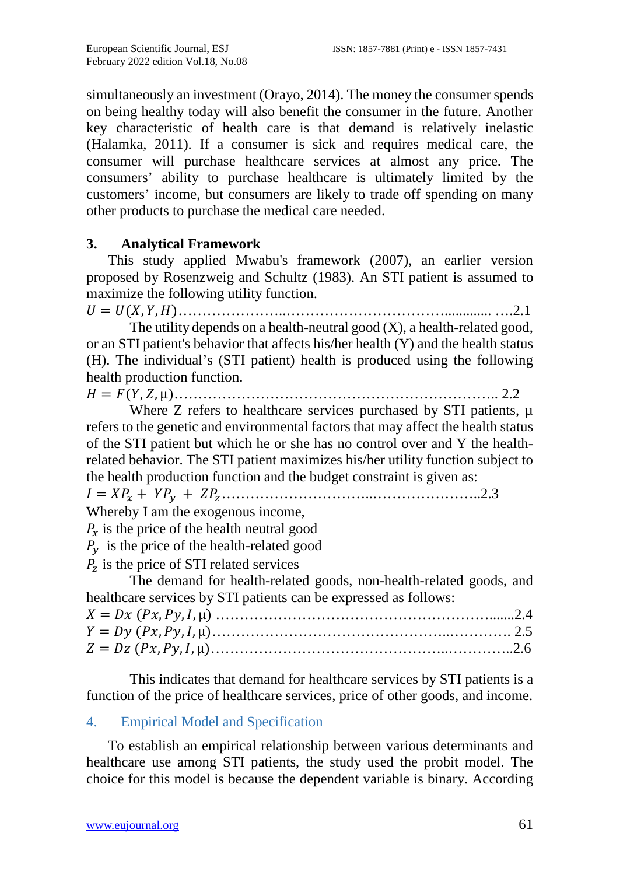simultaneously an investment (Orayo, 2014). The money the consumer spends on being healthy today will also benefit the consumer in the future. Another key characteristic of health care is that demand is relatively inelastic (Halamka, 2011). If a consumer is sick and requires medical care, the consumer will purchase healthcare services at almost any price. The consumers' ability to purchase healthcare is ultimately limited by the customers' income, but consumers are likely to trade off spending on many other products to purchase the medical care needed.

# **3. Analytical Framework**

This study applied Mwabu's framework (2007), an earlier version proposed by Rosenzweig and Schultz (1983). An STI patient is assumed to maximize the following utility function.

= (, , )…………………..……………………………............. ….2.1

The utility depends on a health-neutral good  $(X)$ , a health-related good, or an STI patient's behavior that affects his/her health (Y) and the health status (H). The individual's (STI patient) health is produced using the following health production function.

= (, , µ)………………………………………………………….. 2.2

Where Z refers to healthcare services purchased by STI patients,  $\mu$ refers to the genetic and environmental factors that may affect the health status of the STI patient but which he or she has no control over and Y the healthrelated behavior. The STI patient maximizes his/her utility function subject to the health production function and the budget constraint is given as:

= + + …………………………..…………………..2.3

Whereby I am the exogenous income,

 $P_x$  is the price of the health neutral good

 $P_y$  is the price of the health-related good

 $P<sub>z</sub>$  is the price of STI related services

The demand for health-related goods, non-health-related goods, and healthcare services by STI patients can be expressed as follows:

This indicates that demand for healthcare services by STI patients is a function of the price of healthcare services, price of other goods, and income.

## 4. Empirical Model and Specification

To establish an empirical relationship between various determinants and healthcare use among STI patients, the study used the probit model. The choice for this model is because the dependent variable is binary. According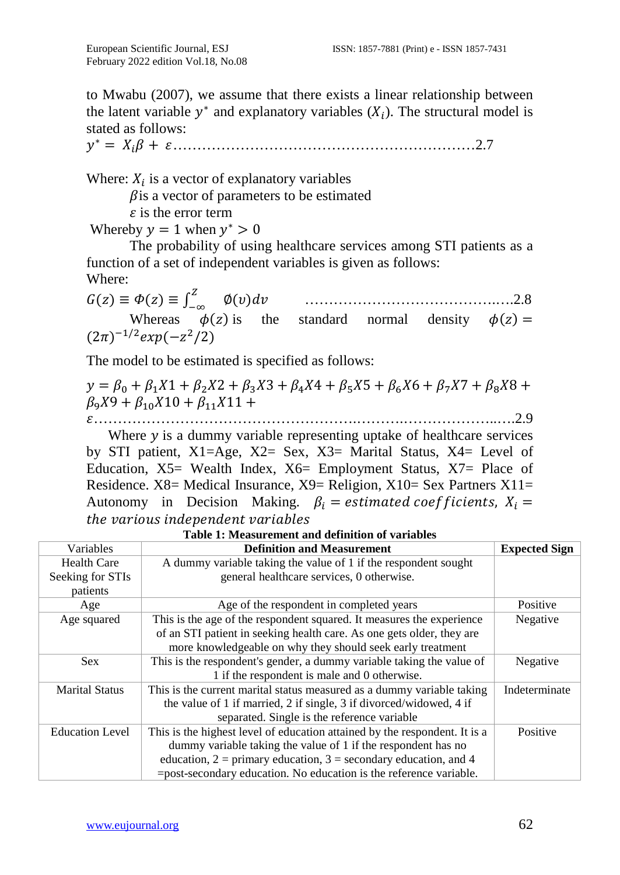to Mwabu (2007), we assume that there exists a linear relationship between the latent variable  $y^*$  and explanatory variables  $(X_i)$ . The structural model is stated as follows:

<sup>∗</sup> = + ………………………………………………………2.7

Where:  $X_i$  is a vector of explanatory variables

 $\beta$  is a vector of parameters to be estimated

 $\epsilon$  is the error term

Whereby  $y = 1$  when  $y^* > 0$ 

The probability of using healthcare services among STI patients as a function of a set of independent variables is given as follows: Where:

( ) ≡ ( ) ≡ ∫ −∞ <sup>∅</sup>() ………………………………….….2.8 Whereas  $\phi(z)$  is the standard normal density  $\phi(z)$  =  $(2\pi)^{-1/2} exp(-z^2/2)$ 

The model to be estimated is specified as follows:

 $y = \beta_0 + \beta_1 X_1 + \beta_2 X_2 + \beta_3 X_3 + \beta_4 X_4 + \beta_5 X_5 + \beta_6 X_6 + \beta_7 X_7 + \beta_8 X_8 +$  $\beta_9 X9 + \beta_{10} X10 + \beta_{11} X11 +$ 

……………………………………………….……….………………..….2.9

Where  $y$  is a dummy variable representing uptake of healthcare services by STI patient, X1=Age, X2= Sex, X3= Marital Status, X4= Level of Education, X5= Wealth Index, X6= Employment Status, X7= Place of Residence.  $X8=$  Medical Insurance,  $X9=$  Religion,  $X10=$  Sex Partners  $X11=$ Autonomy in Decision Making.  $\beta_i$  = estimated coefficients,  $X_i$  = the various independent variables

| Variables              | <b>Definition and Measurement</b>                                          | <b>Expected Sign</b> |
|------------------------|----------------------------------------------------------------------------|----------------------|
| <b>Health Care</b>     | A dummy variable taking the value of 1 if the respondent sought            |                      |
| Seeking for STIs       | general healthcare services, 0 otherwise.                                  |                      |
| patients               |                                                                            |                      |
| Age                    | Age of the respondent in completed years                                   | Positive             |
| Age squared            | This is the age of the respondent squared. It measures the experience      | Negative             |
|                        | of an STI patient in seeking health care. As one gets older, they are      |                      |
|                        | more knowledgeable on why they should seek early treatment                 |                      |
| <b>Sex</b>             | This is the respondent's gender, a dummy variable taking the value of      | Negative             |
|                        | 1 if the respondent is male and 0 otherwise.                               |                      |
| <b>Marital Status</b>  | This is the current marital status measured as a dummy variable taking     | Indeterminate        |
|                        | the value of 1 if married, 2 if single, 3 if divorced/widowed, 4 if        |                      |
|                        | separated. Single is the reference variable                                |                      |
| <b>Education Level</b> | This is the highest level of education attained by the respondent. It is a | Positive             |
|                        | dummy variable taking the value of 1 if the respondent has no              |                      |
|                        | education, $2 =$ primary education, $3 =$ secondary education, and 4       |                      |
|                        | =post-secondary education. No education is the reference variable.         |                      |

**Table 1: Measurement and definition of variables**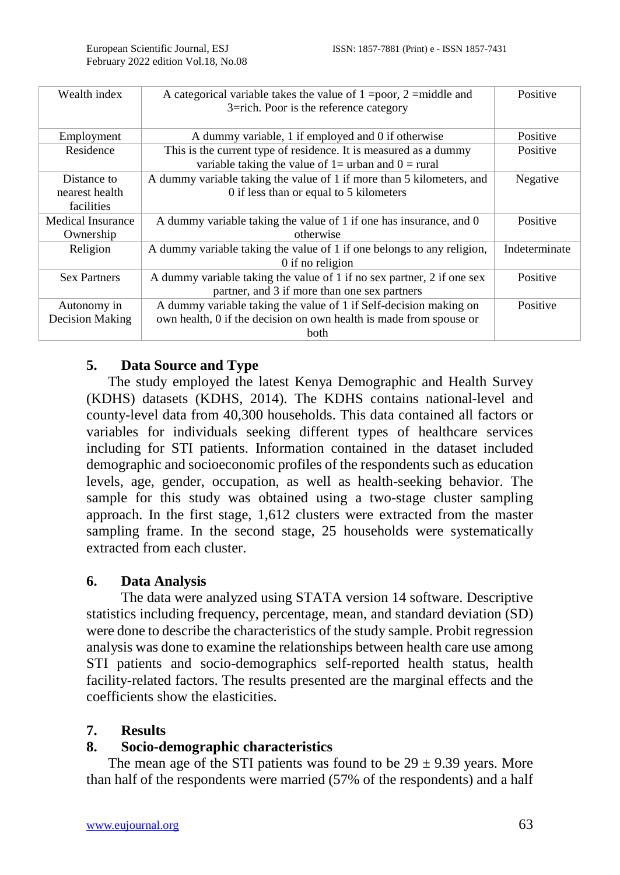| Wealth index           | A categorical variable takes the value of $1 = poor$ , $2 = middle$ and<br>3=rich. Poor is the reference category            | Positive      |
|------------------------|------------------------------------------------------------------------------------------------------------------------------|---------------|
| Employment             | A dummy variable, 1 if employed and 0 if otherwise                                                                           | Positive      |
| Residence              | This is the current type of residence. It is measured as a dummy<br>variable taking the value of $1 =$ urban and $0 =$ rural | Positive      |
| Distance to            | A dummy variable taking the value of 1 if more than 5 kilometers, and                                                        | Negative      |
| nearest health         | 0 if less than or equal to 5 kilometers                                                                                      |               |
| facilities             |                                                                                                                              |               |
| Medical Insurance      | A dummy variable taking the value of 1 if one has insurance, and 0                                                           | Positive      |
| Ownership              | otherwise                                                                                                                    |               |
| Religion               | A dummy variable taking the value of 1 if one belongs to any religion,                                                       | Indeterminate |
|                        | 0 if no religion                                                                                                             |               |
| <b>Sex Partners</b>    | A dummy variable taking the value of 1 if no sex partner, 2 if one sex                                                       | Positive      |
|                        | partner, and 3 if more than one sex partners                                                                                 |               |
| Autonomy in            | A dummy variable taking the value of 1 if Self-decision making on                                                            | Positive      |
| <b>Decision Making</b> | own health, 0 if the decision on own health is made from spouse or                                                           |               |
|                        | <b>both</b>                                                                                                                  |               |

# **5. Data Source and Type**

The study employed the latest Kenya Demographic and Health Survey (KDHS) datasets (KDHS, 2014). The KDHS contains national-level and county-level data from 40,300 households. This data contained all factors or variables for individuals seeking different types of healthcare services including for STI patients. Information contained in the dataset included demographic and socioeconomic profiles of the respondents such as education levels, age, gender, occupation, as well as health-seeking behavior. The sample for this study was obtained using a two-stage cluster sampling approach. In the first stage, 1,612 clusters were extracted from the master sampling frame. In the second stage, 25 households were systematically extracted from each cluster.

## **6. Data Analysis**

The data were analyzed using STATA version 14 software. Descriptive statistics including frequency, percentage, mean, and standard deviation (SD) were done to describe the characteristics of the study sample. Probit regression analysis was done to examine the relationships between health care use among STI patients and socio-demographics self-reported health status, health facility-related factors. The results presented are the marginal effects and the coefficients show the elasticities.

#### **7. Results**

## **8. Socio-demographic characteristics**

The mean age of the STI patients was found to be  $29 \pm 9.39$  years. More than half of the respondents were married (57% of the respondents) and a half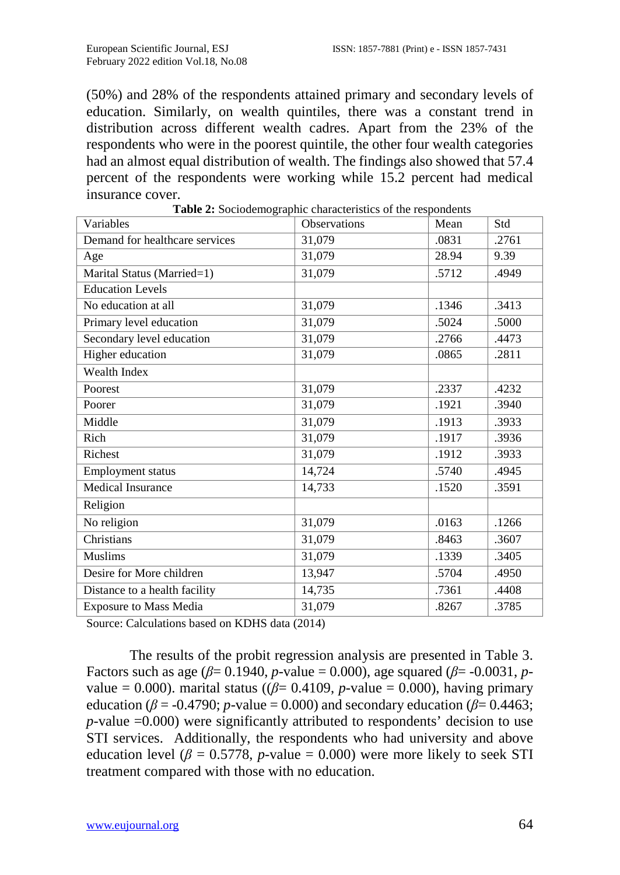(50%) and 28% of the respondents attained primary and secondary levels of education. Similarly, on wealth quintiles, there was a constant trend in distribution across different wealth cadres. Apart from the 23% of the respondents who were in the poorest quintile, the other four wealth categories had an almost equal distribution of wealth. The findings also showed that 57.4 percent of the respondents were working while 15.2 percent had medical insurance cover.

| Variables                      | Observations | Mean  | Std   |
|--------------------------------|--------------|-------|-------|
| Demand for healthcare services | 31,079       | .0831 | .2761 |
| Age                            | 31,079       | 28.94 | 9.39  |
| Marital Status (Married=1)     | 31,079       | .5712 | .4949 |
| <b>Education Levels</b>        |              |       |       |
| No education at all            | 31,079       | .1346 | .3413 |
| Primary level education        | 31,079       | .5024 | .5000 |
| Secondary level education      | 31,079       | .2766 | .4473 |
| Higher education               | 31,079       | .0865 | .2811 |
| Wealth Index                   |              |       |       |
| Poorest                        | 31,079       | .2337 | .4232 |
| Poorer                         | 31,079       | .1921 | .3940 |
| Middle                         | 31,079       | .1913 | .3933 |
| Rich                           | 31,079       | .1917 | .3936 |
| Richest                        | 31,079       | .1912 | .3933 |
| <b>Employment status</b>       | 14,724       | .5740 | .4945 |
| Medical Insurance              | 14,733       | .1520 | .3591 |
| Religion                       |              |       |       |
| No religion                    | 31,079       | .0163 | .1266 |
| Christians                     | 31,079       | .8463 | .3607 |
| Muslims                        | 31,079       | .1339 | .3405 |
| Desire for More children       | 13,947       | .5704 | .4950 |
| Distance to a health facility  | 14,735       | .7361 | .4408 |
| <b>Exposure to Mass Media</b>  | 31,079       | .8267 | .3785 |

**Table 2:** Sociodemographic characteristics of the respondents

Source: Calculations based on KDHS data (2014)

The results of the probit regression analysis are presented in Table 3. Factors such as age ( $\beta$ = 0.1940, *p*-value = 0.000), age squared ( $\beta$ = -0.0031, *p*value = 0.000). marital status ( $(\beta = 0.4109, p$ -value = 0.000), having primary education ( $\beta$  = -0.4790; *p*-value = 0.000) and secondary education ( $\beta$  = 0.4463; *p*-value =0.000) were significantly attributed to respondents' decision to use STI services. Additionally, the respondents who had university and above education level ( $\beta = 0.5778$ , *p*-value = 0.000) were more likely to seek STI treatment compared with those with no education.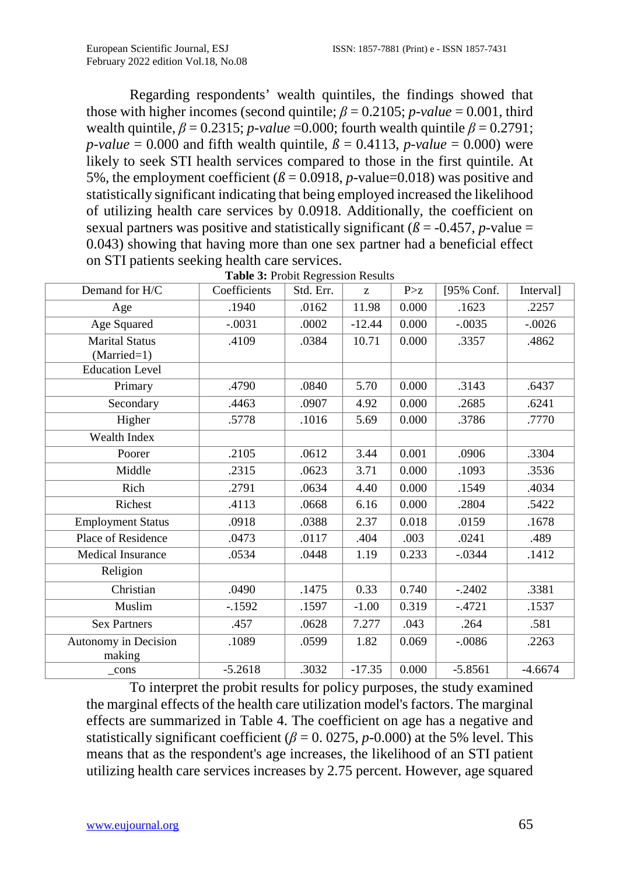Regarding respondents' wealth quintiles, the findings showed that those with higher incomes (second quintile;  $\beta = 0.2105$ ; *p-value* = 0.001, third wealth quintile,  $\beta = 0.2315$ ; *p-value* =0.000; fourth wealth quintile  $\beta = 0.2791$ ; *p*-*value* = 0.000 and fifth wealth quintile,  $\beta$  = 0.4113, *p*-*value* = 0.000) were likely to seek STI health services compared to those in the first quintile. At 5%, the employment coefficient  $(\beta = 0.0918, p-value=0.018)$  was positive and statistically significant indicating that being employed increased the likelihood of utilizing health care services by 0.0918. Additionally, the coefficient on sexual partners was positive and statistically significant ( $\beta$  = -0.457, *p*-value = 0.043) showing that having more than one sex partner had a beneficial effect on STI patients seeking health care services.

| Demand for H/C                         | Coefficients | Std. Err. | Z        | P > z | [95% Conf. | Interval] |
|----------------------------------------|--------------|-----------|----------|-------|------------|-----------|
| Age                                    | .1940        | .0162     | 11.98    | 0.000 | .1623      | .2257     |
| Age Squared                            | $-.0031$     | .0002     | $-12.44$ | 0.000 | $-.0035$   | $-.0026$  |
| <b>Marital Status</b><br>$(Married=1)$ | .4109        | .0384     | 10.71    | 0.000 | .3357      | .4862     |
| <b>Education Level</b>                 |              |           |          |       |            |           |
| Primary                                | .4790        | .0840     | 5.70     | 0.000 | .3143      | .6437     |
| Secondary                              | .4463        | .0907     | 4.92     | 0.000 | .2685      | .6241     |
| Higher                                 | .5778        | .1016     | 5.69     | 0.000 | .3786      | .7770     |
| Wealth Index                           |              |           |          |       |            |           |
| Poorer                                 | .2105        | .0612     | 3.44     | 0.001 | .0906      | .3304     |
| Middle                                 | .2315        | .0623     | 3.71     | 0.000 | .1093      | .3536     |
| Rich                                   | .2791        | .0634     | 4.40     | 0.000 | .1549      | .4034     |
| Richest                                | .4113        | .0668     | 6.16     | 0.000 | .2804      | .5422     |
| <b>Employment Status</b>               | .0918        | .0388     | 2.37     | 0.018 | .0159      | .1678     |
| Place of Residence                     | .0473        | .0117     | .404     | .003  | .0241      | .489      |
| Medical Insurance                      | .0534        | .0448     | 1.19     | 0.233 | $-.0344$   | .1412     |
| Religion                               |              |           |          |       |            |           |
| Christian                              | .0490        | .1475     | 0.33     | 0.740 | $-.2402$   | .3381     |
| Muslim                                 | $-1592$      | .1597     | $-1.00$  | 0.319 | $-.4721$   | .1537     |
| <b>Sex Partners</b>                    | .457         | .0628     | 7.277    | .043  | .264       | .581      |
| Autonomy in Decision<br>making         | .1089        | .0599     | 1.82     | 0.069 | $-.0086$   | .2263     |
| $_{\rm cons}$                          | $-5.2618$    | .3032     | $-17.35$ | 0.000 | $-5.8561$  | $-4.6674$ |

**Table 3:** Probit Regression Results

To interpret the probit results for policy purposes, the study examined the marginal effects of the health care utilization model's factors. The marginal effects are summarized in Table 4. The coefficient on age has a negative and statistically significant coefficient ( $\beta$  = 0.0275, *p*-0.000) at the 5% level. This means that as the respondent's age increases, the likelihood of an STI patient utilizing health care services increases by 2.75 percent. However, age squared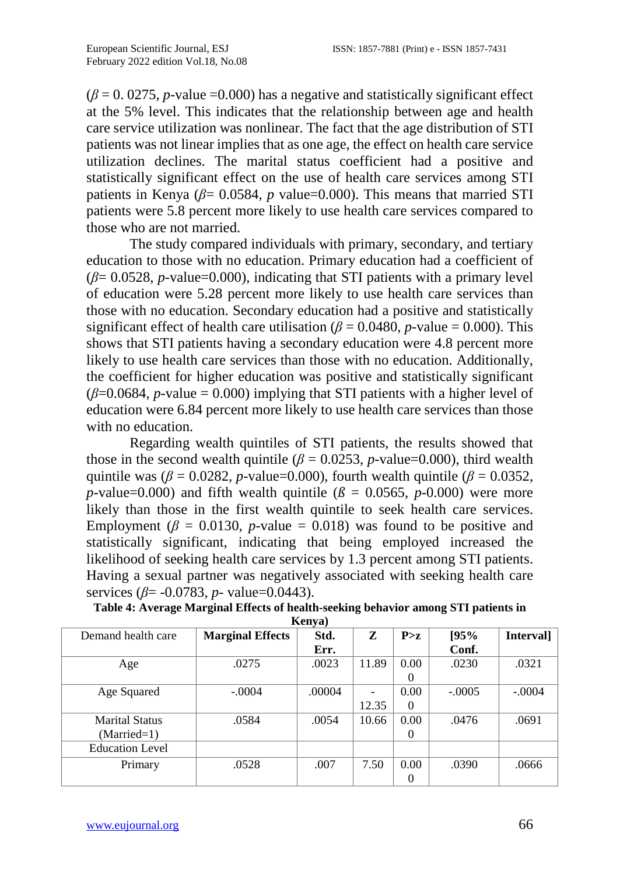$(\beta = 0.0275, p-value = 0.000)$  has a negative and statistically significant effect at the 5% level. This indicates that the relationship between age and health care service utilization was nonlinear. The fact that the age distribution of STI patients was not linear implies that as one age, the effect on health care service utilization declines. The marital status coefficient had a positive and statistically significant effect on the use of health care services among STI patients in Kenya ( $\beta$ = 0.0584, *p* value=0.000). This means that married STI patients were 5.8 percent more likely to use health care services compared to those who are not married.

The study compared individuals with primary, secondary, and tertiary education to those with no education. Primary education had a coefficient of  $(\beta = 0.0528, p-value=0.000)$ , indicating that STI patients with a primary level of education were 5.28 percent more likely to use health care services than those with no education. Secondary education had a positive and statistically significant effect of health care utilisation ( $\beta$  = 0.0480, *p*-value = 0.000). This shows that STI patients having a secondary education were 4.8 percent more likely to use health care services than those with no education. Additionally, the coefficient for higher education was positive and statistically significant  $(\beta=0.0684, p-value = 0.000)$  implying that STI patients with a higher level of education were 6.84 percent more likely to use health care services than those with no education.

Regarding wealth quintiles of STI patients, the results showed that those in the second wealth quintile  $(\beta = 0.0253, p$ -value=0.000), third wealth quintile was ( $\beta$  = 0.0282, *p*-value=0.000), fourth wealth quintile ( $\beta$  = 0.0352, *p*-value=0.000) and fifth wealth quintile ( $\beta$  = 0.0565, *p*-0.000) were more likely than those in the first wealth quintile to seek health care services. Employment ( $\beta$  = 0.0130, *p*-value = 0.018) was found to be positive and statistically significant, indicating that being employed increased the likelihood of seeking health care services by 1.3 percent among STI patients. Having a sexual partner was negatively associated with seeking health care services (*β*= -0.0783, *p*- value=0.0443).

| псиуа)                 |                         |        |       |          |          |           |  |
|------------------------|-------------------------|--------|-------|----------|----------|-----------|--|
| Demand health care     | <b>Marginal Effects</b> | Std.   | Z     | P > z    | 195%     | Interval] |  |
|                        |                         | Err.   |       |          | Conf.    |           |  |
| Age                    | .0275                   | .0023  | 11.89 | 0.00     | .0230    | .0321     |  |
|                        |                         |        |       | 0        |          |           |  |
| Age Squared            | $-.0004$                | .00004 |       | 0.00     | $-.0005$ | $-.0004$  |  |
|                        |                         |        | 12.35 | $\Omega$ |          |           |  |
| <b>Marital Status</b>  | .0584                   | .0054  | 10.66 | 0.00     | .0476    | .0691     |  |
| $(Married=1)$          |                         |        |       | $\theta$ |          |           |  |
| <b>Education Level</b> |                         |        |       |          |          |           |  |
| Primary                | .0528                   | .007   | 7.50  | 0.00     | .0390    | .0666     |  |
|                        |                         |        |       | $\theta$ |          |           |  |

**Table 4: Average Marginal Effects of health-seeking behavior among STI patients in**   $K_{\text{onvol}}$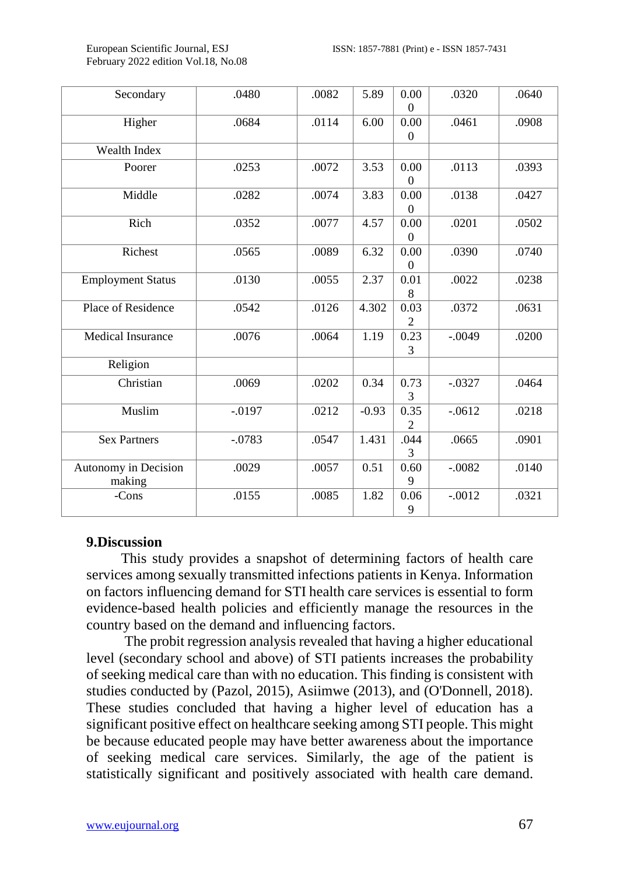February 2022 edition Vol.18, No.08

| Secondary                      | .0480     | .0082 | 5.89    | 0.00<br>$\theta$       | .0320    | .0640 |
|--------------------------------|-----------|-------|---------|------------------------|----------|-------|
| Higher                         | .0684     | .0114 | 6.00    | 0.00<br>$\overline{0}$ | .0461    | .0908 |
| Wealth Index                   |           |       |         |                        |          |       |
| Poorer                         | .0253     | .0072 | 3.53    | 0.00<br>$\overline{0}$ | .0113    | .0393 |
| Middle                         | .0282     | .0074 | 3.83    | 0.00<br>$\Omega$       | .0138    | .0427 |
| Rich                           | .0352     | .0077 | 4.57    | 0.00<br>$\overline{0}$ | .0201    | .0502 |
| Richest                        | .0565     | .0089 | 6.32    | 0.00<br>$\Omega$       | .0390    | .0740 |
| <b>Employment Status</b>       | .0130     | .0055 | 2.37    | 0.01<br>8              | .0022    | .0238 |
| Place of Residence             | .0542     | .0126 | 4.302   | 0.03<br>2              | .0372    | .0631 |
| Medical Insurance              | .0076     | .0064 | 1.19    | 0.23<br>3              | $-.0049$ | .0200 |
| Religion                       |           |       |         |                        |          |       |
| Christian                      | .0069     | .0202 | 0.34    | 0.73<br>3              | $-.0327$ | .0464 |
| Muslim                         | $-0.0197$ | .0212 | $-0.93$ | 0.35<br>$\mathfrak{D}$ | $-.0612$ | .0218 |
| <b>Sex Partners</b>            | $-.0783$  | .0547 | 1.431   | .044<br>3              | .0665    | .0901 |
| Autonomy in Decision<br>making | .0029     | .0057 | 0.51    | 0.60<br>9              | $-.0082$ | .0140 |
| -Cons                          | .0155     | .0085 | 1.82    | 0.06<br>9              | $-.0012$ | .0321 |

#### **9.Discussion**

This study provides a snapshot of determining factors of health care services among sexually transmitted infections patients in Kenya. Information on factors influencing demand for STI health care services is essential to form evidence-based health policies and efficiently manage the resources in the country based on the demand and influencing factors.

The probit regression analysis revealed that having a higher educational level (secondary school and above) of STI patients increases the probability of seeking medical care than with no education. This finding is consistent with studies conducted by (Pazol, 2015), Asiimwe (2013), and (O'Donnell, 2018). These studies concluded that having a higher level of education has a significant positive effect on healthcare seeking among STI people. This might be because educated people may have better awareness about the importance of seeking medical care services. Similarly, the age of the patient is statistically significant and positively associated with health care demand.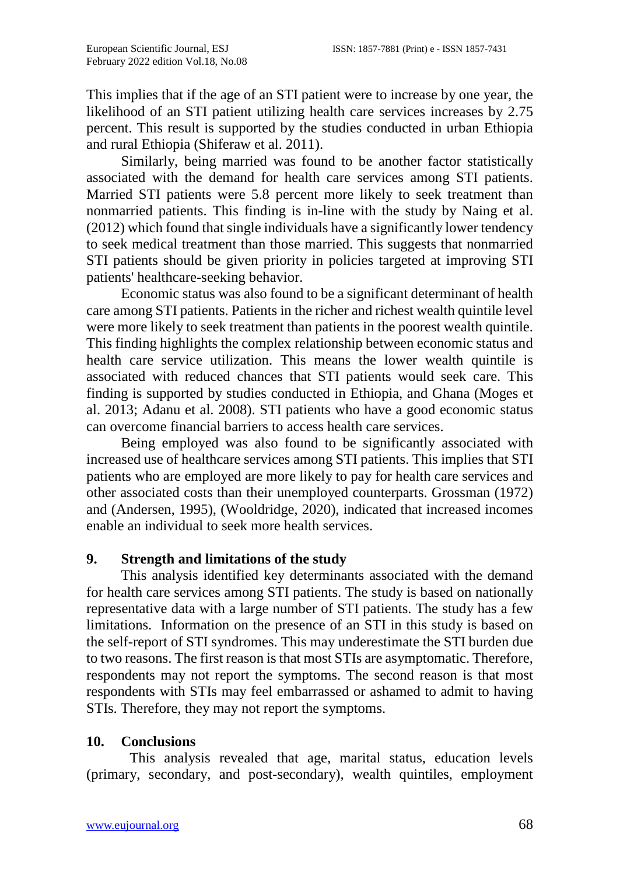This implies that if the age of an STI patient were to increase by one year, the likelihood of an STI patient utilizing health care services increases by 2.75 percent. This result is supported by the studies conducted in urban Ethiopia and rural Ethiopia (Shiferaw et al. 2011).

Similarly, being married was found to be another factor statistically associated with the demand for health care services among STI patients. Married STI patients were 5.8 percent more likely to seek treatment than nonmarried patients. This finding is in-line with the study by Naing et al. (2012) which found that single individuals have a significantly lower tendency to seek medical treatment than those married. This suggests that nonmarried STI patients should be given priority in policies targeted at improving STI patients' healthcare-seeking behavior.

Economic status was also found to be a significant determinant of health care among STI patients. Patients in the richer and richest wealth quintile level were more likely to seek treatment than patients in the poorest wealth quintile. This finding highlights the complex relationship between economic status and health care service utilization. This means the lower wealth quintile is associated with reduced chances that STI patients would seek care. This finding is supported by studies conducted in Ethiopia, and Ghana (Moges et al. 2013; Adanu et al. 2008). STI patients who have a good economic status can overcome financial barriers to access health care services.

Being employed was also found to be significantly associated with increased use of healthcare services among STI patients. This implies that STI patients who are employed are more likely to pay for health care services and other associated costs than their unemployed counterparts. Grossman (1972) and (Andersen, 1995), (Wooldridge, 2020), indicated that increased incomes enable an individual to seek more health services.

## **9. Strength and limitations of the study**

This analysis identified key determinants associated with the demand for health care services among STI patients. The study is based on nationally representative data with a large number of STI patients. The study has a few limitations. Information on the presence of an STI in this study is based on the self-report of STI syndromes. This may underestimate the STI burden due to two reasons. The first reason is that most STIs are asymptomatic. Therefore, respondents may not report the symptoms. The second reason is that most respondents with STIs may feel embarrassed or ashamed to admit to having STIs. Therefore, they may not report the symptoms.

## **10. Conclusions**

This analysis revealed that age, marital status, education levels (primary, secondary, and post-secondary), wealth quintiles, employment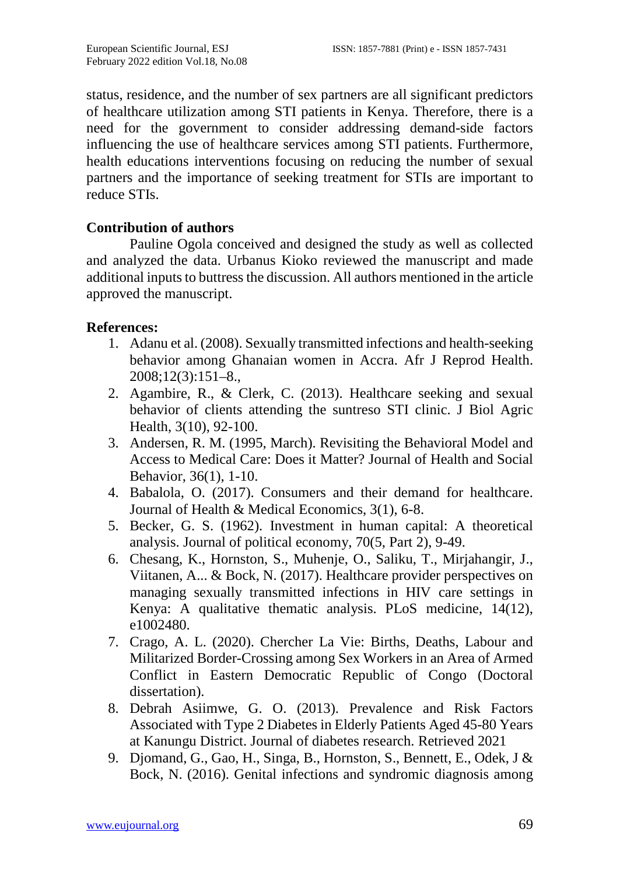status, residence, and the number of sex partners are all significant predictors of healthcare utilization among STI patients in Kenya. Therefore, there is a need for the government to consider addressing demand-side factors influencing the use of healthcare services among STI patients. Furthermore, health educations interventions focusing on reducing the number of sexual partners and the importance of seeking treatment for STIs are important to reduce STIs.

# **Contribution of authors**

Pauline Ogola conceived and designed the study as well as collected and analyzed the data. Urbanus Kioko reviewed the manuscript and made additional inputs to buttress the discussion. All authors mentioned in the article approved the manuscript.

# **References:**

- 1. Adanu et al. (2008). Sexually transmitted infections and health-seeking behavior among Ghanaian women in Accra. Afr J Reprod Health. 2008;12(3):151–8.,
- 2. Agambire, R., & Clerk, C. (2013). Healthcare seeking and sexual behavior of clients attending the suntreso STI clinic. J Biol Agric Health, 3(10), 92-100.
- 3. Andersen, R. M. (1995, March). Revisiting the Behavioral Model and Access to Medical Care: Does it Matter? Journal of Health and Social Behavior, 36(1), 1-10.
- 4. Babalola, O. (2017). Consumers and their demand for healthcare. Journal of Health & Medical Economics, 3(1), 6-8.
- 5. Becker, G. S. (1962). Investment in human capital: A theoretical analysis. Journal of political economy, 70(5, Part 2), 9-49.
- 6. Chesang, K., Hornston, S., Muhenje, O., Saliku, T., Mirjahangir, J., Viitanen, A... & Bock, N. (2017). Healthcare provider perspectives on managing sexually transmitted infections in HIV care settings in Kenya: A qualitative thematic analysis. PLoS medicine, 14(12), e1002480.
- 7. Crago, A. L. (2020). Chercher La Vie: Births, Deaths, Labour and Militarized Border-Crossing among Sex Workers in an Area of Armed Conflict in Eastern Democratic Republic of Congo (Doctoral dissertation).
- 8. Debrah Asiimwe, G. O. (2013). Prevalence and Risk Factors Associated with Type 2 Diabetes in Elderly Patients Aged 45-80 Years at Kanungu District. Journal of diabetes research. Retrieved 2021
- 9. Djomand, G., Gao, H., Singa, B., Hornston, S., Bennett, E., Odek, J & Bock, N. (2016). Genital infections and syndromic diagnosis among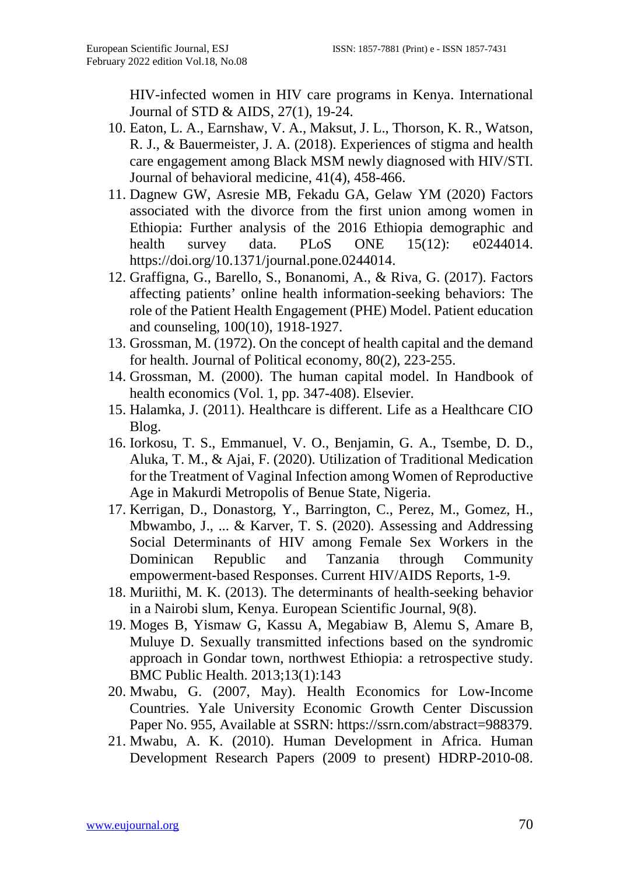HIV-infected women in HIV care programs in Kenya. International Journal of STD & AIDS, 27(1), 19-24.

- 10. Eaton, L. A., Earnshaw, V. A., Maksut, J. L., Thorson, K. R., Watson, R. J., & Bauermeister, J. A. (2018). Experiences of stigma and health care engagement among Black MSM newly diagnosed with HIV/STI. Journal of behavioral medicine, 41(4), 458-466.
- 11. Dagnew GW, Asresie MB, Fekadu GA, Gelaw YM (2020) Factors associated with the divorce from the first union among women in Ethiopia: Further analysis of the 2016 Ethiopia demographic and health survey data. PLoS ONE 15(12): e0244014. https://doi.org/10.1371/journal.pone.0244014.
- 12. Graffigna, G., Barello, S., Bonanomi, A., & Riva, G. (2017). Factors affecting patients' online health information-seeking behaviors: The role of the Patient Health Engagement (PHE) Model. Patient education and counseling, 100(10), 1918-1927.
- 13. Grossman, M. (1972). On the concept of health capital and the demand for health. Journal of Political economy, 80(2), 223-255.
- 14. Grossman, M. (2000). The human capital model. In Handbook of health economics (Vol. 1, pp. 347-408). Elsevier.
- 15. Halamka, J. (2011). Healthcare is different. Life as a Healthcare CIO Blog.
- 16. Iorkosu, T. S., Emmanuel, V. O., Benjamin, G. A., Tsembe, D. D., Aluka, T. M., & Ajai, F. (2020). Utilization of Traditional Medication for the Treatment of Vaginal Infection among Women of Reproductive Age in Makurdi Metropolis of Benue State, Nigeria.
- 17. Kerrigan, D., Donastorg, Y., Barrington, C., Perez, M., Gomez, H., Mbwambo, J., ... & Karver, T. S. (2020). Assessing and Addressing Social Determinants of HIV among Female Sex Workers in the Dominican Republic and Tanzania through Community empowerment-based Responses. Current HIV/AIDS Reports, 1-9.
- 18. Muriithi, M. K. (2013). The determinants of health-seeking behavior in a Nairobi slum, Kenya. European Scientific Journal, 9(8).
- 19. Moges B, Yismaw G, Kassu A, Megabiaw B, Alemu S, Amare B, Muluye D. Sexually transmitted infections based on the syndromic approach in Gondar town, northwest Ethiopia: a retrospective study. BMC Public Health. 2013;13(1):143
- 20. Mwabu, G. (2007, May). Health Economics for Low-Income Countries. Yale University Economic Growth Center Discussion Paper No. 955, Available at SSRN: https://ssrn.com/abstract=988379.
- 21. Mwabu, A. K. (2010). Human Development in Africa. Human Development Research Papers (2009 to present) HDRP-2010-08.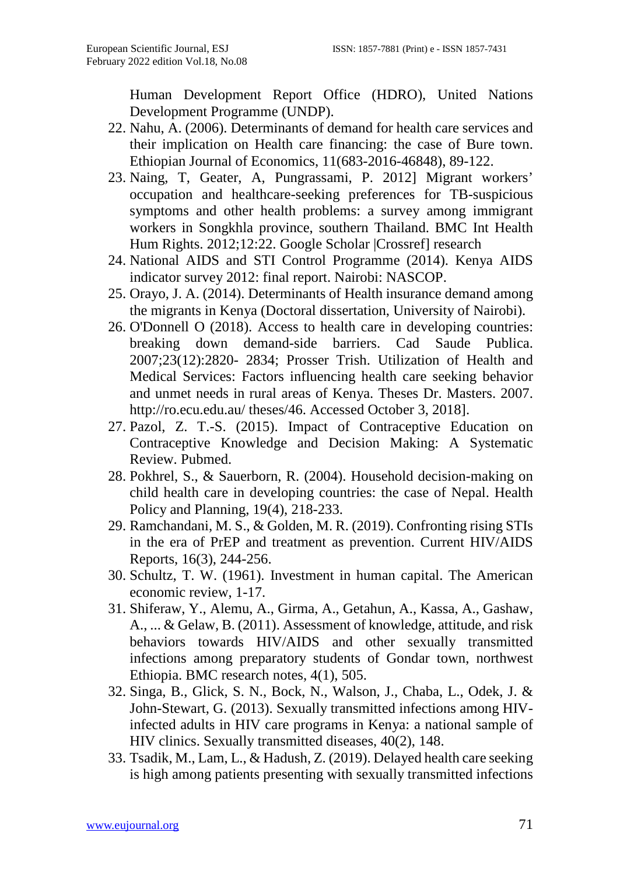Human Development Report Office (HDRO), United Nations Development Programme (UNDP).

- 22. Nahu, A. (2006). Determinants of demand for health care services and their implication on Health care financing: the case of Bure town. Ethiopian Journal of Economics, 11(683-2016-46848), 89-122.
- 23. Naing, T, Geater, A, Pungrassami, P. 2012] Migrant workers' occupation and healthcare-seeking preferences for TB-suspicious symptoms and other health problems: a survey among immigrant workers in Songkhla province, southern Thailand. BMC Int Health Hum Rights. 2012;12:22. Google Scholar |Crossref] research
- 24. National AIDS and STI Control Programme (2014). Kenya AIDS indicator survey 2012: final report. Nairobi: NASCOP.
- 25. Orayo, J. A. (2014). Determinants of Health insurance demand among the migrants in Kenya (Doctoral dissertation, University of Nairobi).
- 26. O'Donnell O (2018). Access to health care in developing countries: breaking down demand-side barriers. Cad Saude Publica. 2007;23(12):2820- 2834; Prosser Trish. Utilization of Health and Medical Services: Factors influencing health care seeking behavior and unmet needs in rural areas of Kenya. Theses Dr. Masters. 2007. http://ro.ecu.edu.au/ theses/46. Accessed October 3, 2018].
- 27. Pazol, Z. T.-S. (2015). Impact of Contraceptive Education on Contraceptive Knowledge and Decision Making: A Systematic Review. Pubmed.
- 28. Pokhrel, S., & Sauerborn, R. (2004). Household decision-making on child health care in developing countries: the case of Nepal. Health Policy and Planning, 19(4), 218-233.
- 29. Ramchandani, M. S., & Golden, M. R. (2019). Confronting rising STIs in the era of PrEP and treatment as prevention. Current HIV/AIDS Reports, 16(3), 244-256.
- 30. Schultz, T. W. (1961). Investment in human capital. The American economic review, 1-17.
- 31. Shiferaw, Y., Alemu, A., Girma, A., Getahun, A., Kassa, A., Gashaw, A., ... & Gelaw, B. (2011). Assessment of knowledge, attitude, and risk behaviors towards HIV/AIDS and other sexually transmitted infections among preparatory students of Gondar town, northwest Ethiopia. BMC research notes, 4(1), 505.
- 32. Singa, B., Glick, S. N., Bock, N., Walson, J., Chaba, L., Odek, J. & John-Stewart, G. (2013). Sexually transmitted infections among HIVinfected adults in HIV care programs in Kenya: a national sample of HIV clinics. Sexually transmitted diseases, 40(2), 148.
- 33. Tsadik, M., Lam, L., & Hadush, Z. (2019). Delayed health care seeking is high among patients presenting with sexually transmitted infections